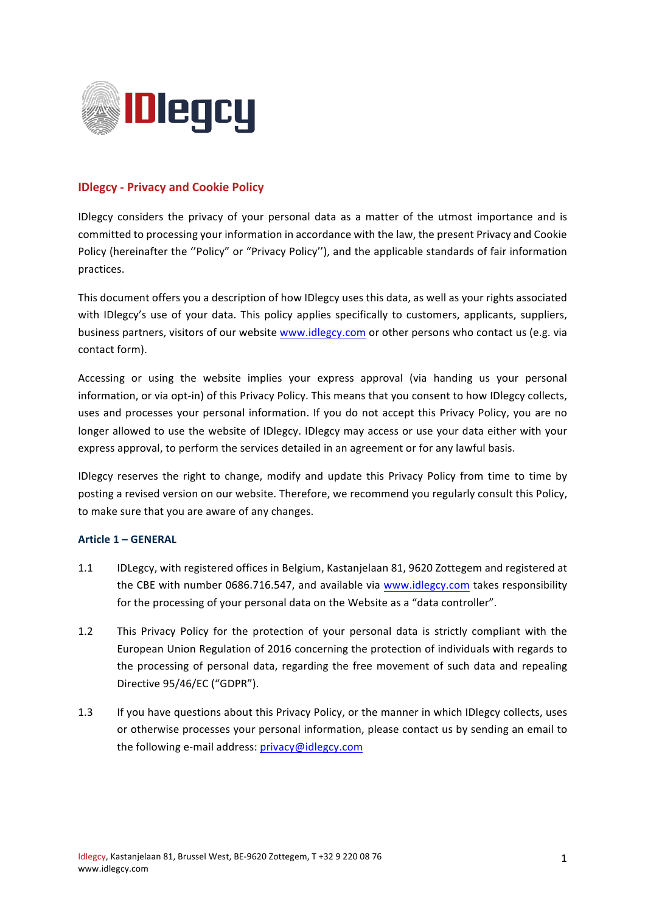

# **IDlegcy - Privacy and Cookie Policy**

IDlegcy considers the privacy of your personal data as a matter of the utmost importance and is committed to processing your information in accordance with the law, the present Privacy and Cookie Policy (hereinafter the "Policy" or "Privacy Policy"), and the applicable standards of fair information practices. 

This document offers you a description of how IDlegcy uses this data, as well as your rights associated with IDlegcy's use of your data. This policy applies specifically to customers, applicants, suppliers, business partners, visitors of our website www.idlegcy.com or other persons who contact us (e.g. via contact form).

Accessing or using the website implies your express approval (via handing us your personal information, or via opt-in) of this Privacy Policy. This means that you consent to how IDlegcy collects, uses and processes your personal information. If you do not accept this Privacy Policy, you are no longer allowed to use the website of IDlegcy. IDlegcy may access or use your data either with your express approval, to perform the services detailed in an agreement or for any lawful basis.

IDlegcy reserves the right to change, modify and update this Privacy Policy from time to time by posting a revised version on our website. Therefore, we recommend you regularly consult this Policy, to make sure that you are aware of any changes.

## **Article 1 – GENERAL**

- 1.1 IDLegcy, with registered offices in Belgium, Kastanjelaan 81, 9620 Zottegem and registered at the CBE with number 0686.716.547, and available via www.idlegcy.com takes responsibility for the processing of your personal data on the Website as a "data controller".
- 1.2 This Privacy Policy for the protection of your personal data is strictly compliant with the European Union Regulation of 2016 concerning the protection of individuals with regards to the processing of personal data, regarding the free movement of such data and repealing Directive 95/46/EC ("GDPR").
- 1.3 If you have questions about this Privacy Policy, or the manner in which IDlegcy collects, uses or otherwise processes your personal information, please contact us by sending an email to the following e-mail address: privacy@idlegcy.com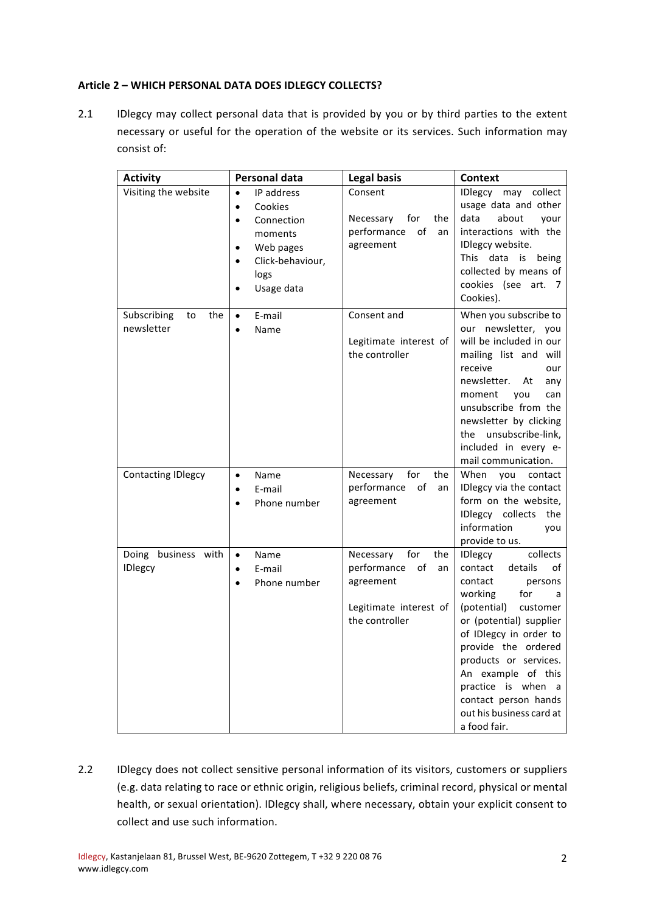## **Article 2 – WHICH PERSONAL DATA DOES IDLEGCY COLLECTS?**

2.1 IDlegcy may collect personal data that is provided by you or by third parties to the extent necessary or useful for the operation of the website or its services. Such information may consist of:

| <b>Activity</b>                        | Personal data                                                                                                                                                          | <b>Legal basis</b>                                                                                          | <b>Context</b>                                                                                                                                                                                                                                                                                                                                         |
|----------------------------------------|------------------------------------------------------------------------------------------------------------------------------------------------------------------------|-------------------------------------------------------------------------------------------------------------|--------------------------------------------------------------------------------------------------------------------------------------------------------------------------------------------------------------------------------------------------------------------------------------------------------------------------------------------------------|
| Visiting the website                   | IP address<br>$\bullet$<br>Cookies<br>$\bullet$<br>Connection<br>$\bullet$<br>moments<br>Web pages<br>$\bullet$<br>Click-behaviour,<br>$\bullet$<br>logs<br>Usage data | Consent<br>for<br>Necessary<br>the<br>performance<br>of<br>an<br>agreement                                  | IDlegcy<br>may collect<br>usage data and other<br>data<br>about<br>vour<br>interactions with the<br>IDlegcy website.<br>This data is being<br>collected by means of<br>cookies (see art. 7<br>Cookies).                                                                                                                                                |
| Subscribing<br>the<br>to<br>newsletter | E-mail<br>$\bullet$<br>Name<br>$\bullet$                                                                                                                               | Consent and<br>Legitimate interest of<br>the controller                                                     | When you subscribe to<br>our newsletter, you<br>will be included in our<br>mailing list and will<br>receive<br>our<br>newsletter.<br>At<br>any<br>moment<br>you<br>can<br>unsubscribe from the<br>newsletter by clicking<br>the unsubscribe-link,<br>included in every e-<br>mail communication.                                                       |
| <b>Contacting IDlegcy</b>              | $\bullet$<br>Name<br>E-mail<br>$\bullet$<br>Phone number<br>$\bullet$                                                                                                  | for<br>Necessary<br>the<br>of<br>performance<br>an<br>agreement                                             | When<br>you<br>contact<br>IDlegcy via the contact<br>form on the website,<br>IDlegcy collects the<br>information<br>you<br>provide to us.                                                                                                                                                                                                              |
| Doing business with<br><b>IDlegcy</b>  | Name<br>$\bullet$<br>E-mail<br>$\bullet$<br>Phone number                                                                                                               | for<br>Necessary<br>the<br>performance<br>of<br>an<br>agreement<br>Legitimate interest of<br>the controller | collects<br><b>IDlegcy</b><br>contact<br>details<br>οf<br>contact<br>persons<br>for<br>working<br>a<br>(potential)<br>customer<br>or (potential) supplier<br>of IDlegcy in order to<br>provide the ordered<br>products or services.<br>An example of this<br>practice is when<br>a<br>contact person hands<br>out his business card at<br>a food fair. |

2.2 IDlegcy does not collect sensitive personal information of its visitors, customers or suppliers (e.g. data relating to race or ethnic origin, religious beliefs, criminal record, physical or mental health, or sexual orientation). IDlegcy shall, where necessary, obtain your explicit consent to collect and use such information.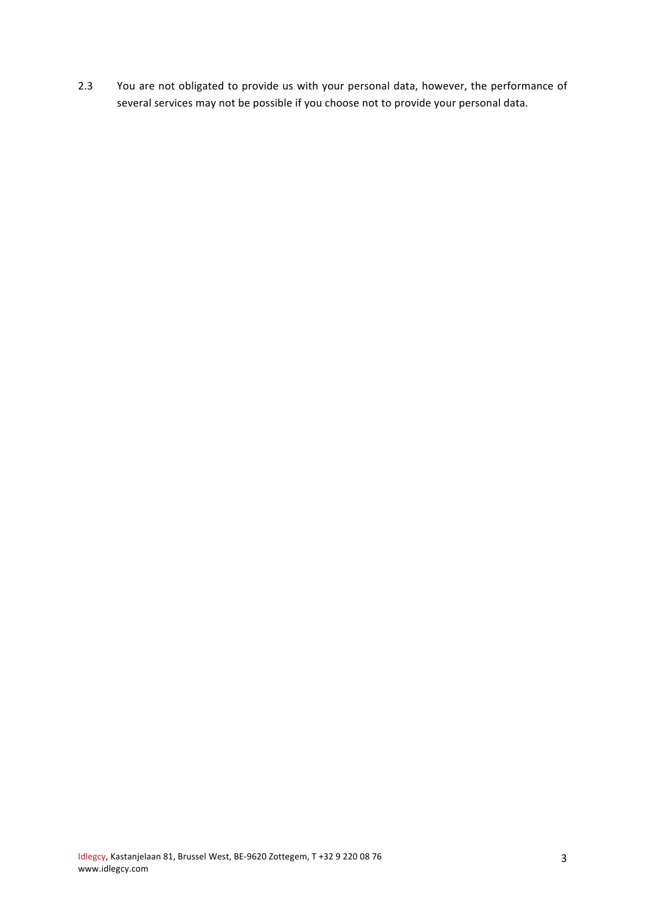2.3 You are not obligated to provide us with your personal data, however, the performance of several services may not be possible if you choose not to provide your personal data.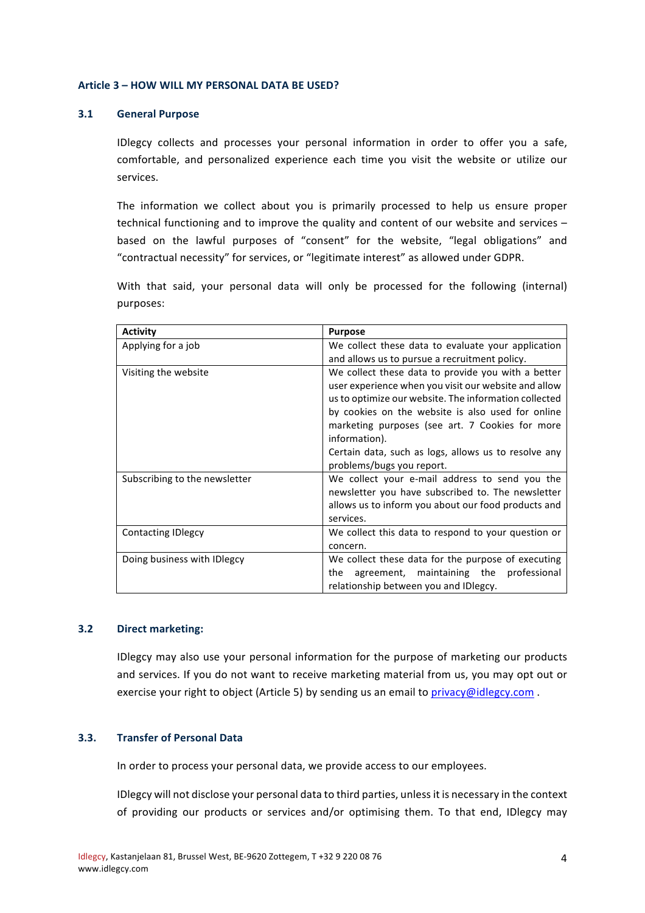#### **Article 3 – HOW WILL MY PERSONAL DATA BE USED?**

### **3.1 General Purpose**

IDlegcy collects and processes your personal information in order to offer you a safe, comfortable, and personalized experience each time you visit the website or utilize our services. 

The information we collect about you is primarily processed to help us ensure proper technical functioning and to improve the quality and content of our website and services  $$ based on the lawful purposes of "consent" for the website, "legal obligations" and "contractual necessity" for services, or "legitimate interest" as allowed under GDPR.

With that said, your personal data will only be processed for the following (internal) purposes:

| <b>Activity</b>               | <b>Purpose</b>                                                                                                                                                                                                                                                                                                                                                                    |  |
|-------------------------------|-----------------------------------------------------------------------------------------------------------------------------------------------------------------------------------------------------------------------------------------------------------------------------------------------------------------------------------------------------------------------------------|--|
| Applying for a job            | We collect these data to evaluate your application                                                                                                                                                                                                                                                                                                                                |  |
|                               | and allows us to pursue a recruitment policy.                                                                                                                                                                                                                                                                                                                                     |  |
| Visiting the website          | We collect these data to provide you with a better<br>user experience when you visit our website and allow<br>us to optimize our website. The information collected<br>by cookies on the website is also used for online<br>marketing purposes (see art. 7 Cookies for more<br>information).<br>Certain data, such as logs, allows us to resolve any<br>problems/bugs you report. |  |
| Subscribing to the newsletter | We collect your e-mail address to send you the<br>newsletter you have subscribed to. The newsletter<br>allows us to inform you about our food products and<br>services.                                                                                                                                                                                                           |  |
| <b>Contacting IDlegcy</b>     | We collect this data to respond to your question or<br>concern.                                                                                                                                                                                                                                                                                                                   |  |
| Doing business with IDlegcy   | We collect these data for the purpose of executing<br>agreement, maintaining the professional<br>the<br>relationship between you and IDlegcy.                                                                                                                                                                                                                                     |  |

## **3.2 Direct marketing:**

IDlegcy may also use your personal information for the purpose of marketing our products and services. If you do not want to receive marketing material from us, you may opt out or exercise your right to object (Article 5) by sending us an email to privacy@idlegcy.com .

### **3.3. Transfer of Personal Data**

In order to process your personal data, we provide access to our employees.

IDlegcy will not disclose your personal data to third parties, unless it is necessary in the context of providing our products or services and/or optimising them. To that end, IDlegcy may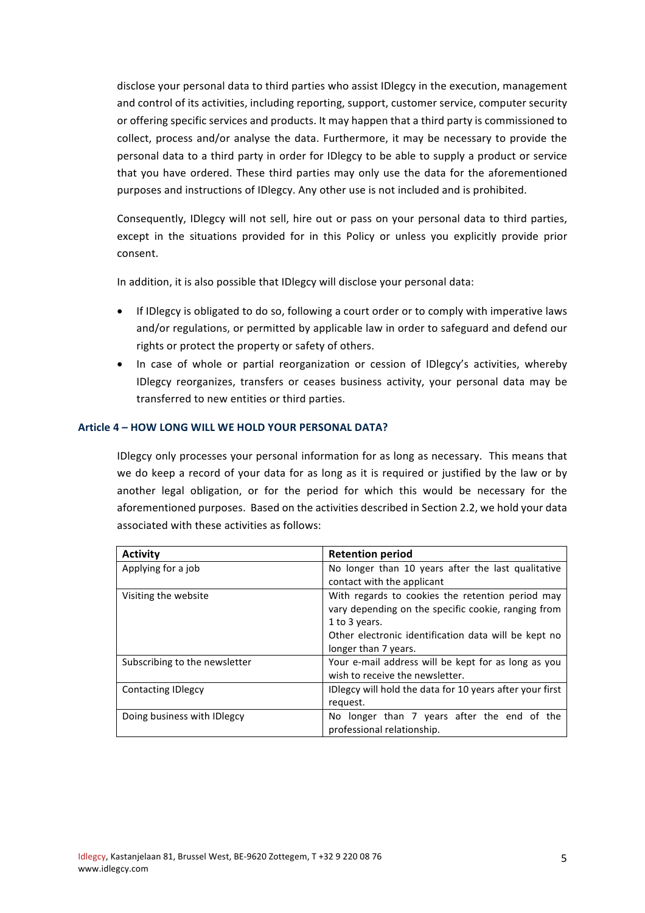disclose your personal data to third parties who assist IDlegcy in the execution, management and control of its activities, including reporting, support, customer service, computer security or offering specific services and products. It may happen that a third party is commissioned to collect, process and/or analyse the data. Furthermore, it may be necessary to provide the personal data to a third party in order for IDlegcy to be able to supply a product or service that you have ordered. These third parties may only use the data for the aforementioned purposes and instructions of IDlegcy. Any other use is not included and is prohibited.

Consequently, IDlegcy will not sell, hire out or pass on your personal data to third parties, except in the situations provided for in this Policy or unless you explicitly provide prior consent.

In addition, it is also possible that IDlegcy will disclose your personal data:

- If IDlegcy is obligated to do so, following a court order or to comply with imperative laws and/or regulations, or permitted by applicable law in order to safeguard and defend our rights or protect the property or safety of others.
- In case of whole or partial reorganization or cession of IDlegcy's activities, whereby IDlegcy reorganizes, transfers or ceases business activity, your personal data may be transferred to new entities or third parties.

### **Article 4 – HOW LONG WILL WE HOLD YOUR PERSONAL DATA?**

IDlegcy only processes your personal information for as long as necessary. This means that we do keep a record of your data for as long as it is required or justified by the law or by another legal obligation, or for the period for which this would be necessary for the aforementioned purposes. Based on the activities described in Section 2.2, we hold your data associated with these activities as follows:

| Activity                      | <b>Retention period</b>                                  |
|-------------------------------|----------------------------------------------------------|
| Applying for a job            | No longer than 10 years after the last qualitative       |
|                               | contact with the applicant                               |
| Visiting the website          | With regards to cookies the retention period may         |
|                               | vary depending on the specific cookie, ranging from      |
|                               | 1 to 3 years.                                            |
|                               | Other electronic identification data will be kept no     |
|                               | longer than 7 years.                                     |
| Subscribing to the newsletter | Your e-mail address will be kept for as long as you      |
|                               | wish to receive the newsletter.                          |
| <b>Contacting IDIegcy</b>     | IDlegcy will hold the data for 10 years after your first |
|                               | request.                                                 |
| Doing business with ID legcy  | No longer than 7 years after the end of the              |
|                               | professional relationship.                               |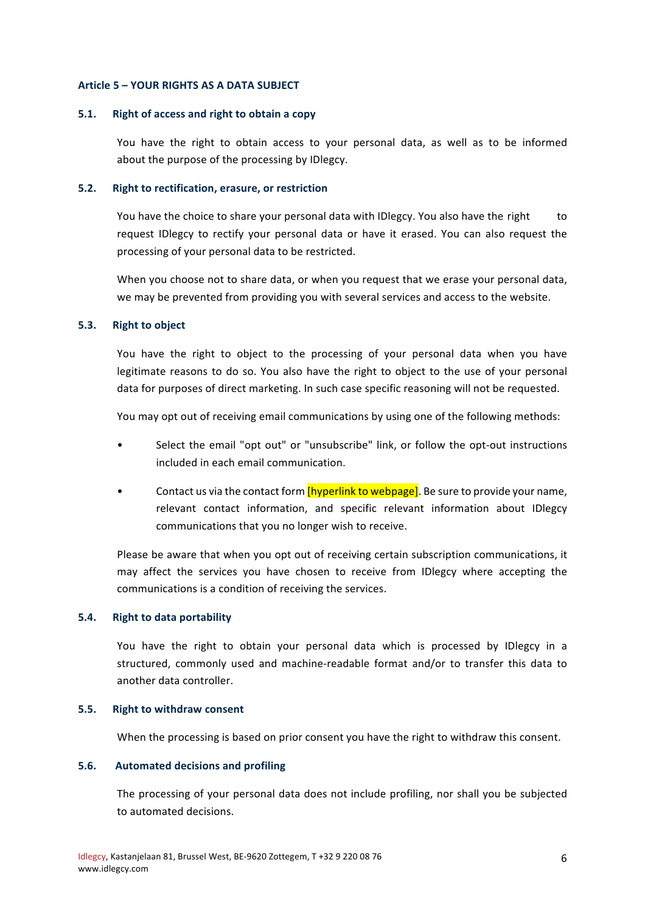#### **Article 5 – YOUR RIGHTS AS A DATA SUBJECT**

#### **5.1.** Right of access and right to obtain a copy

You have the right to obtain access to your personal data, as well as to be informed about the purpose of the processing by IDlegcy.

### **5.2. Right to rectification, erasure, or restriction**

You have the choice to share your personal data with IDlegcy. You also have the right to request IDlegcy to rectify your personal data or have it erased. You can also request the processing of your personal data to be restricted.

When you choose not to share data, or when you request that we erase your personal data, we may be prevented from providing you with several services and access to the website.

#### **5.3. Right to object**

You have the right to object to the processing of your personal data when you have legitimate reasons to do so. You also have the right to object to the use of your personal data for purposes of direct marketing. In such case specific reasoning will not be requested.

You may opt out of receiving email communications by using one of the following methods:

- Select the email "opt out" or "unsubscribe" link, or follow the opt-out instructions included in each email communication.
- Contact us via the contact form [hyperlink to webpage]. Be sure to provide your name, relevant contact information, and specific relevant information about IDlegcy communications that you no longer wish to receive.

Please be aware that when you opt out of receiving certain subscription communications, it may affect the services you have chosen to receive from IDlegcy where accepting the communications is a condition of receiving the services.

#### **5.4. Right to data portability**

You have the right to obtain your personal data which is processed by IDlegcy in a structured, commonly used and machine-readable format and/or to transfer this data to another data controller.

### **5.5.** Right to withdraw consent

When the processing is based on prior consent you have the right to withdraw this consent.

### **5.6. Automated decisions and profiling**

The processing of your personal data does not include profiling, nor shall you be subjected to automated decisions.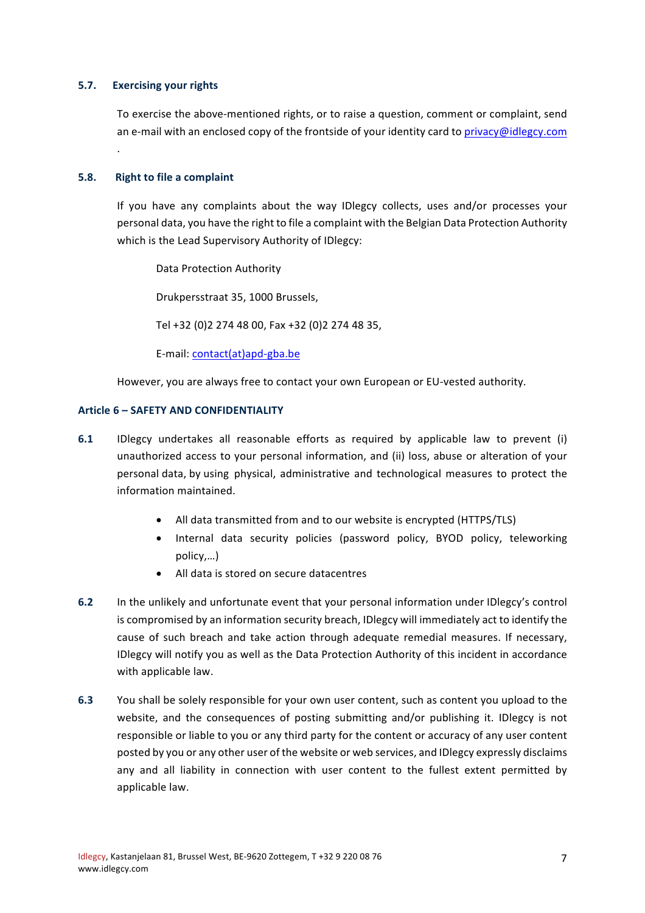### **5.7. Exercising your rights**

To exercise the above-mentioned rights, or to raise a question, comment or complaint, send an e-mail with an enclosed copy of the frontside of your identity card to privacy@idlegcy.com .

### **5.8. Right to file a complaint**

If you have any complaints about the way IDlegcy collects, uses and/or processes your personal data, you have the right to file a complaint with the Belgian Data Protection Authority which is the Lead Supervisory Authority of IDlegcy:

Data Protection Authority

Drukpersstraat 35, 1000 Brussels,

Tel +32 (0)2 274 48 00, Fax +32 (0)2 274 48 35,

E-mail: contact(at)apd-gba.be

However, you are always free to contact your own European or EU-vested authority.

#### **Article 6 – SAFETY AND CONFIDENTIALITY**

- **6.1** IDlegcy undertakes all reasonable efforts as required by applicable law to prevent (i) unauthorized access to your personal information, and (ii) loss, abuse or alteration of your personal data, by using physical, administrative and technological measures to protect the information maintained.
	- All data transmitted from and to our website is encrypted (HTTPS/TLS)
	- Internal data security policies (password policy, BYOD policy, teleworking policy,…)
	- All data is stored on secure datacentres
- **6.2** In the unlikely and unfortunate event that your personal information under IDlegcy's control is compromised by an information security breach, IDlegcy will immediately act to identify the cause of such breach and take action through adequate remedial measures. If necessary, IDlegcy will notify you as well as the Data Protection Authority of this incident in accordance with applicable law.
- **6.3** You shall be solely responsible for your own user content, such as content you upload to the website, and the consequences of posting submitting and/or publishing it. IDlegcy is not responsible or liable to you or any third party for the content or accuracy of any user content posted by you or any other user of the website or web services, and IDlegcy expressly disclaims any and all liability in connection with user content to the fullest extent permitted by applicable law.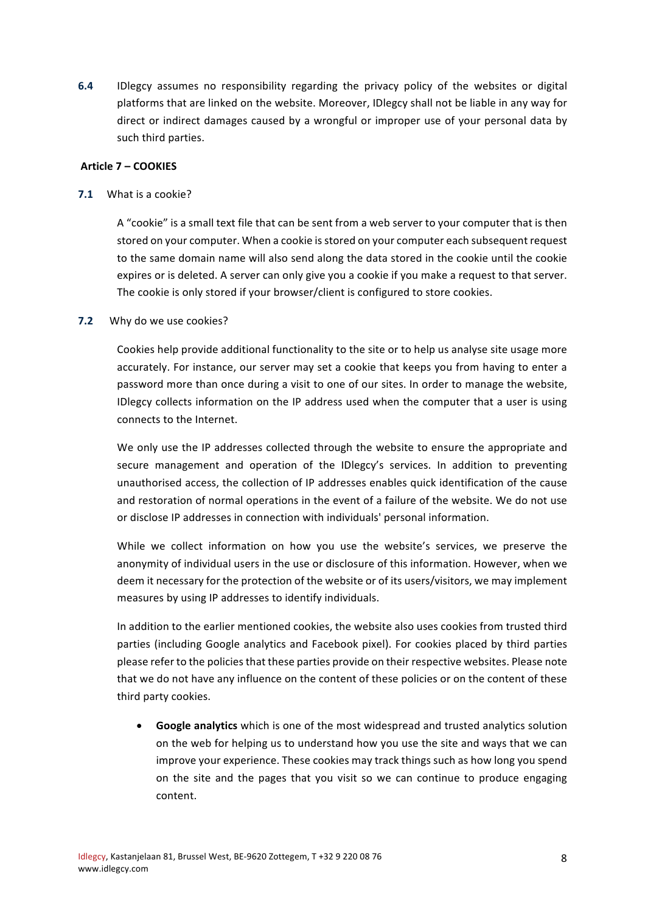**6.4** IDlegcy assumes no responsibility regarding the privacy policy of the websites or digital platforms that are linked on the website. Moreover, IDlegcy shall not be liable in any way for direct or indirect damages caused by a wrongful or improper use of your personal data by such third parties.

### **Article 7 – COOKIES**

**7.1** What is a cookie?

A "cookie" is a small text file that can be sent from a web server to your computer that is then stored on your computer. When a cookie is stored on your computer each subsequent request to the same domain name will also send along the data stored in the cookie until the cookie expires or is deleted. A server can only give you a cookie if you make a request to that server. The cookie is only stored if your browser/client is configured to store cookies.

### **7.2** Why do we use cookies?

Cookies help provide additional functionality to the site or to help us analyse site usage more accurately. For instance, our server may set a cookie that keeps you from having to enter a password more than once during a visit to one of our sites. In order to manage the website, IDlegcy collects information on the IP address used when the computer that a user is using connects to the Internet.

We only use the IP addresses collected through the website to ensure the appropriate and secure management and operation of the IDlegcy's services. In addition to preventing unauthorised access, the collection of IP addresses enables quick identification of the cause and restoration of normal operations in the event of a failure of the website. We do not use or disclose IP addresses in connection with individuals' personal information.

While we collect information on how you use the website's services, we preserve the anonymity of individual users in the use or disclosure of this information. However, when we deem it necessary for the protection of the website or of its users/visitors, we may implement measures by using IP addresses to identify individuals.

In addition to the earlier mentioned cookies, the website also uses cookies from trusted third parties (including Google analytics and Facebook pixel). For cookies placed by third parties please refer to the policies that these parties provide on their respective websites. Please note that we do not have any influence on the content of these policies or on the content of these third party cookies.

• Google analytics which is one of the most widespread and trusted analytics solution on the web for helping us to understand how you use the site and ways that we can improve your experience. These cookies may track things such as how long you spend on the site and the pages that you visit so we can continue to produce engaging content.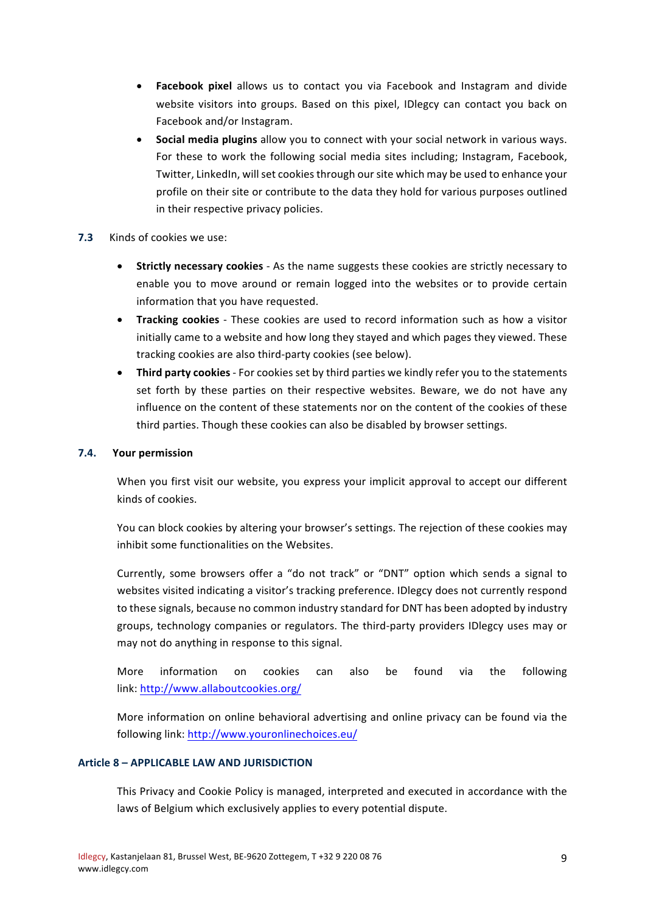- **Facebook pixel** allows us to contact you via Facebook and Instagram and divide website visitors into groups. Based on this pixel, IDlegcy can contact you back on Facebook and/or Instagram.
- Social media plugins allow you to connect with your social network in various ways. For these to work the following social media sites including; Instagram, Facebook, Twitter, LinkedIn, will set cookies through our site which may be used to enhance your profile on their site or contribute to the data they hold for various purposes outlined in their respective privacy policies.

## **7.3** Kinds of cookies we use:

- **Strictly necessary cookies** As the name suggests these cookies are strictly necessary to enable you to move around or remain logged into the websites or to provide certain information that you have requested.
- **Tracking cookies** These cookies are used to record information such as how a visitor initially came to a website and how long they stayed and which pages they viewed. These tracking cookies are also third-party cookies (see below).
- Third party cookies For cookies set by third parties we kindly refer you to the statements set forth by these parties on their respective websites. Beware, we do not have any influence on the content of these statements nor on the content of the cookies of these third parties. Though these cookies can also be disabled by browser settings.

## **7.4. Your permission**

When you first visit our website, you express your implicit approval to accept our different kinds of cookies.

You can block cookies by altering your browser's settings. The rejection of these cookies may inhibit some functionalities on the Websites.

Currently, some browsers offer a "do not track" or "DNT" option which sends a signal to websites visited indicating a visitor's tracking preference. IDlegcy does not currently respond to these signals, because no common industry standard for DNT has been adopted by industry groups, technology companies or regulators. The third-party providers IDlegcy uses may or may not do anything in response to this signal.

More information on cookies can also be found via the following link: http://www.allaboutcookies.org/

More information on online behavioral advertising and online privacy can be found via the following link: http://www.youronlinechoices.eu/

## **Article 8 – APPLICABLE LAW AND JURISDICTION**

This Privacy and Cookie Policy is managed, interpreted and executed in accordance with the laws of Belgium which exclusively applies to every potential dispute.